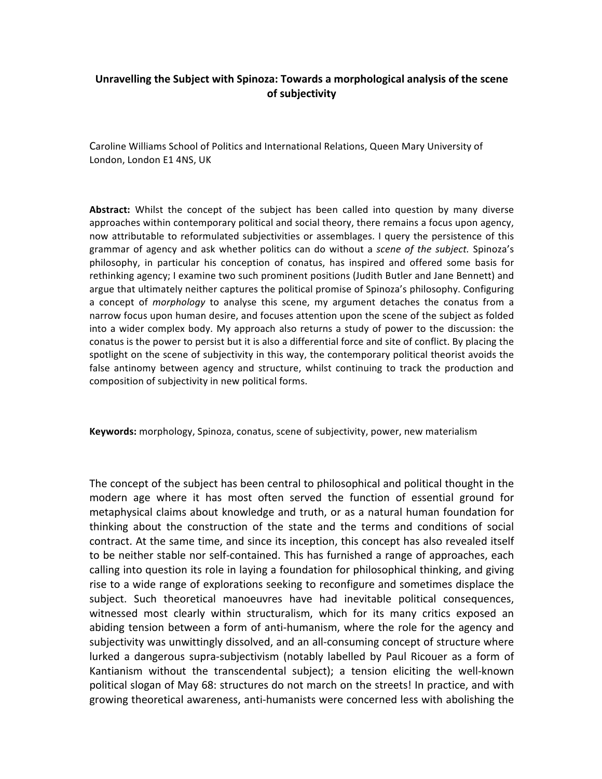# **Unravelling the Subject with Spinoza: Towards a morphological analysis of the scene of subjectivity**

Caroline Williams School of Politics and International Relations, Queen Mary University of London, London E1 4NS, UK

Abstract: Whilst the concept of the subject has been called into question by many diverse approaches within contemporary political and social theory, there remains a focus upon agency, now attributable to reformulated subjectivities or assemblages. I query the persistence of this grammar of agency and ask whether politics can do without a *scene of the subject*. Spinoza's philosophy, in particular his conception of conatus, has inspired and offered some basis for rethinking agency; I examine two such prominent positions (Judith Butler and Jane Bennett) and argue that ultimately neither captures the political promise of Spinoza's philosophy. Configuring a concept of *morphology* to analyse this scene, my argument detaches the conatus from a narrow focus upon human desire, and focuses attention upon the scene of the subject as folded into a wider complex body. My approach also returns a study of power to the discussion: the conatus is the power to persist but it is also a differential force and site of conflict. By placing the spotlight on the scene of subjectivity in this way, the contemporary political theorist avoids the false antinomy between agency and structure, whilst continuing to track the production and composition of subjectivity in new political forms.

**Keywords:** morphology, Spinoza, conatus, scene of subjectivity, power, new materialism

The concept of the subject has been central to philosophical and political thought in the modern age where it has most often served the function of essential ground for metaphysical claims about knowledge and truth, or as a natural human foundation for thinking about the construction of the state and the terms and conditions of social contract. At the same time, and since its inception, this concept has also revealed itself to be neither stable nor self-contained. This has furnished a range of approaches, each calling into question its role in laying a foundation for philosophical thinking, and giving rise to a wide range of explorations seeking to reconfigure and sometimes displace the subject. Such theoretical manoeuvres have had inevitable political consequences, witnessed most clearly within structuralism, which for its many critics exposed an abiding tension between a form of anti-humanism, where the role for the agency and subjectivity was unwittingly dissolved, and an all-consuming concept of structure where lurked a dangerous supra-subjectivism (notably labelled by Paul Ricouer as a form of Kantianism without the transcendental subject); a tension eliciting the well-known political slogan of May 68: structures do not march on the streets! In practice, and with growing theoretical awareness, anti-humanists were concerned less with abolishing the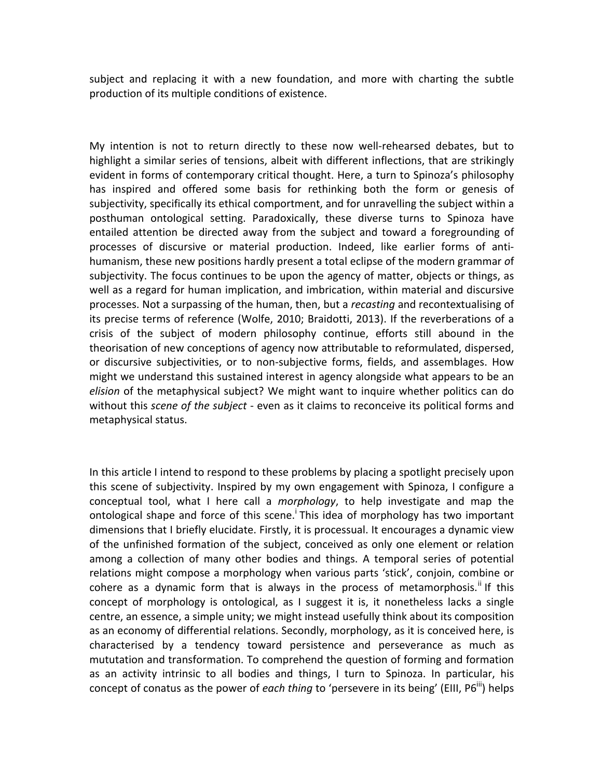subject and replacing it with a new foundation, and more with charting the subtle production of its multiple conditions of existence.

My intention is not to return directly to these now well-rehearsed debates, but to highlight a similar series of tensions, albeit with different inflections, that are strikingly evident in forms of contemporary critical thought. Here, a turn to Spinoza's philosophy has inspired and offered some basis for rethinking both the form or genesis of subjectivity, specifically its ethical comportment, and for unravelling the subject within a posthuman ontological setting. Paradoxically, these diverse turns to Spinoza have entailed attention be directed away from the subject and toward a foregrounding of processes of discursive or material production. Indeed, like earlier forms of antihumanism, these new positions hardly present a total eclipse of the modern grammar of subjectivity. The focus continues to be upon the agency of matter, objects or things, as well as a regard for human implication, and imbrication, within material and discursive processes. Not a surpassing of the human, then, but a *recasting* and recontextualising of its precise terms of reference (Wolfe, 2010; Braidotti, 2013). If the reverberations of a crisis of the subject of modern philosophy continue, efforts still abound in the theorisation of new conceptions of agency now attributable to reformulated, dispersed, or discursive subjectivities, or to non-subjective forms, fields, and assemblages. How might we understand this sustained interest in agency alongside what appears to be an *elision* of the metaphysical subject? We might want to inquire whether politics can do without this *scene of the subject* - even as it claims to reconceive its political forms and metaphysical status.

In this article I intend to respond to these problems by placing a spotlight precisely upon this scene of subjectivity. Inspired by my own engagement with Spinoza, I configure a conceptual tool, what I here call a *morphology*, to help investigate and map the ontological shape and force of this scene.<sup>i</sup> This idea of morphology has two important dimensions that I briefly elucidate. Firstly, it is processual. It encourages a dynamic view of the unfinished formation of the subject, conceived as only one element or relation among a collection of many other bodies and things. A temporal series of potential relations might compose a morphology when various parts 'stick', conjoin, combine or cohere as a dynamic form that is always in the process of metamorphosis.<sup>"</sup> If this concept of morphology is ontological, as I suggest it is, it nonetheless lacks a single centre, an essence, a simple unity; we might instead usefully think about its composition as an economy of differential relations. Secondly, morphology, as it is conceived here, is characterised by a tendency toward persistence and perseverance as much as mututation and transformation. To comprehend the question of forming and formation as an activity intrinsic to all bodies and things, I turn to Spinoza. In particular, his concept of conatus as the power of *each thing* to 'persevere in its being' (EIII, P6<sup>iii</sup>) helps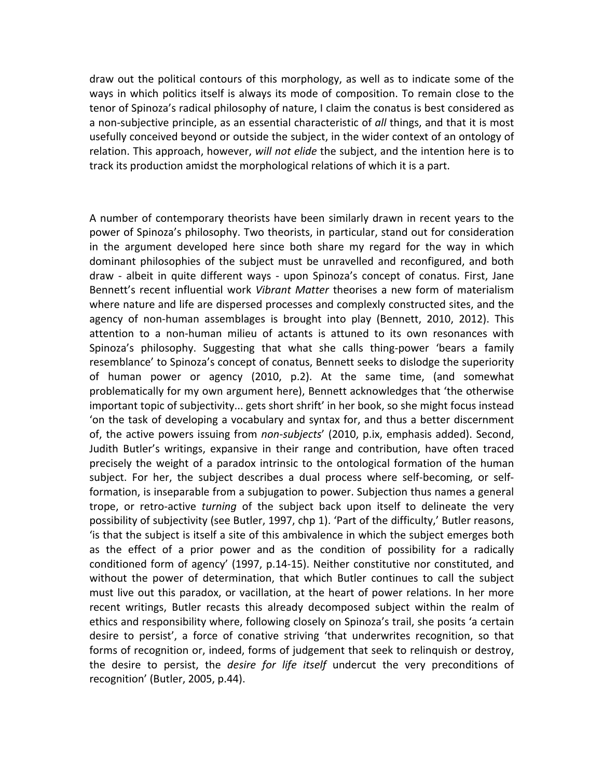draw out the political contours of this morphology, as well as to indicate some of the ways in which politics itself is always its mode of composition. To remain close to the tenor of Spinoza's radical philosophy of nature, I claim the conatus is best considered as a non-subjective principle, as an essential characteristic of *all* things, and that it is most usefully conceived beyond or outside the subject, in the wider context of an ontology of relation. This approach, however, will not elide the subject, and the intention here is to track its production amidst the morphological relations of which it is a part.

A number of contemporary theorists have been similarly drawn in recent years to the power of Spinoza's philosophy. Two theorists, in particular, stand out for consideration in the argument developed here since both share my regard for the way in which dominant philosophies of the subject must be unravelled and reconfigured, and both draw - albeit in quite different ways - upon Spinoza's concept of conatus. First, Jane Bennett's recent influential work *Vibrant Matter* theorises a new form of materialism where nature and life are dispersed processes and complexly constructed sites, and the agency of non-human assemblages is brought into play (Bennett, 2010, 2012). This attention to a non-human milieu of actants is attuned to its own resonances with Spinoza's philosophy. Suggesting that what she calls thing-power 'bears a family resemblance' to Spinoza's concept of conatus, Bennett seeks to dislodge the superiority of human power or agency (2010, p.2). At the same time, (and somewhat problematically for my own argument here), Bennett acknowledges that 'the otherwise important topic of subjectivity... gets short shrift' in her book, so she might focus instead 'on the task of developing a vocabulary and syntax for, and thus a better discernment of, the active powers issuing from *non-subjects'* (2010, p.ix, emphasis added). Second, Judith Butler's writings, expansive in their range and contribution, have often traced precisely the weight of a paradox intrinsic to the ontological formation of the human subject. For her, the subject describes a dual process where self-becoming, or selfformation, is inseparable from a subjugation to power. Subjection thus names a general trope, or retro-active *turning* of the subject back upon itself to delineate the very possibility of subjectivity (see Butler, 1997, chp 1). 'Part of the difficulty,' Butler reasons, 'is that the subject is itself a site of this ambivalence in which the subject emerges both as the effect of a prior power and as the condition of possibility for a radically conditioned form of agency' (1997, p.14-15). Neither constitutive nor constituted, and without the power of determination, that which Butler continues to call the subject must live out this paradox, or vacillation, at the heart of power relations. In her more recent writings, Butler recasts this already decomposed subject within the realm of ethics and responsibility where, following closely on Spinoza's trail, she posits 'a certain desire to persist', a force of conative striving 'that underwrites recognition, so that forms of recognition or, indeed, forms of judgement that seek to relinquish or destroy, the desire to persist, the *desire for life itself* undercut the very preconditions of recognition' (Butler, 2005, p.44).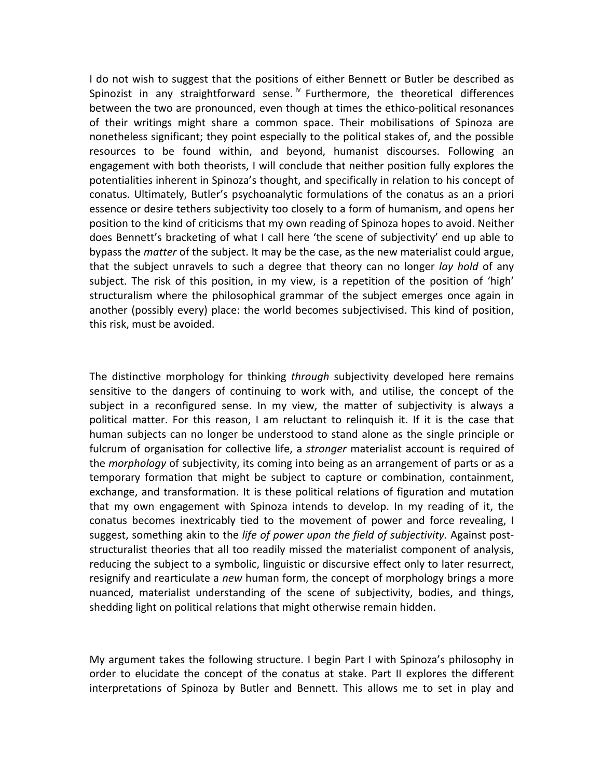I do not wish to suggest that the positions of either Bennett or Butler be described as Spinozist in any straightforward sense.  $iv$  Furthermore, the theoretical differences between the two are pronounced, even though at times the ethico-political resonances of their writings might share a common space. Their mobilisations of Spinoza are nonetheless significant; they point especially to the political stakes of, and the possible resources to be found within, and beyond, humanist discourses. Following an engagement with both theorists, I will conclude that neither position fully explores the potentialities inherent in Spinoza's thought, and specifically in relation to his concept of conatus. Ultimately, Butler's psychoanalytic formulations of the conatus as an a priori essence or desire tethers subjectivity too closely to a form of humanism, and opens her position to the kind of criticisms that my own reading of Spinoza hopes to avoid. Neither does Bennett's bracketing of what I call here 'the scene of subjectivity' end up able to bypass the *matter* of the subject. It may be the case, as the new materialist could argue, that the subject unravels to such a degree that theory can no longer *lay hold* of any subject. The risk of this position, in my view, is a repetition of the position of 'high' structuralism where the philosophical grammar of the subject emerges once again in another (possibly every) place: the world becomes subjectivised. This kind of position, this risk, must be avoided.

The distinctive morphology for thinking *through* subjectivity developed here remains sensitive to the dangers of continuing to work with, and utilise, the concept of the subject in a reconfigured sense. In my view, the matter of subjectivity is always a political matter. For this reason, I am reluctant to relinquish it. If it is the case that human subjects can no longer be understood to stand alone as the single principle or fulcrum of organisation for collective life, a *stronger* materialist account is required of the *morphology* of subjectivity, its coming into being as an arrangement of parts or as a temporary formation that might be subject to capture or combination, containment, exchange, and transformation. It is these political relations of figuration and mutation that my own engagement with Spinoza intends to develop. In my reading of it, the conatus becomes inextricably tied to the movement of power and force revealing, I suggest, something akin to the life of power upon the field of subjectivity. Against poststructuralist theories that all too readily missed the materialist component of analysis, reducing the subject to a symbolic, linguistic or discursive effect only to later resurrect, resignify and rearticulate a *new* human form, the concept of morphology brings a more nuanced, materialist understanding of the scene of subjectivity, bodies, and things, shedding light on political relations that might otherwise remain hidden.

My argument takes the following structure. I begin Part I with Spinoza's philosophy in order to elucidate the concept of the conatus at stake. Part II explores the different interpretations of Spinoza by Butler and Bennett. This allows me to set in play and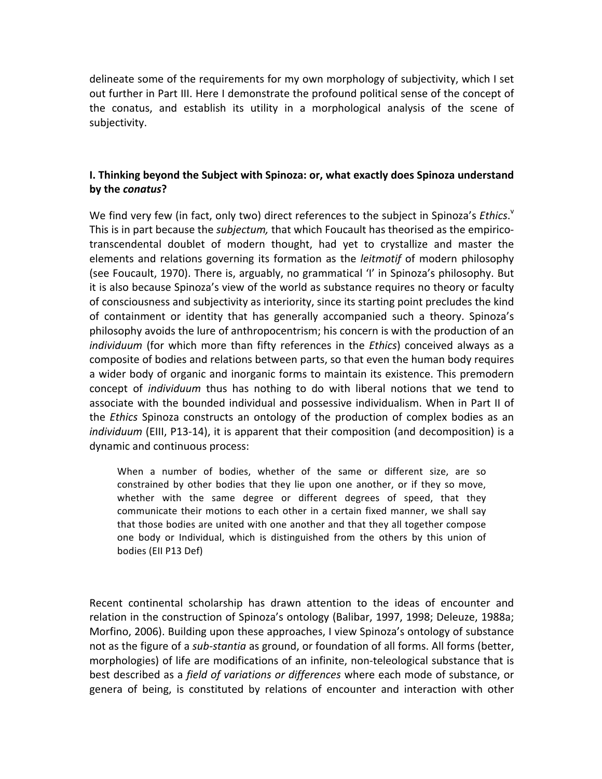delineate some of the requirements for my own morphology of subjectivity, which I set out further in Part III. Here I demonstrate the profound political sense of the concept of the conatus, and establish its utility in a morphological analysis of the scene of subjectivity. 

# **I. Thinking beyond the Subject with Spinoza: or, what exactly does Spinoza understand** by the *conatus*?

We find very few (in fact, only two) direct references to the subject in Spinoza's *Ethics*.<sup>v</sup> This is in part because the *subjectum*, that which Foucault has theorised as the empiricotranscendental doublet of modern thought, had yet to crystallize and master the elements and relations governing its formation as the *leitmotif* of modern philosophy (see Foucault, 1970). There is, arguably, no grammatical 'I' in Spinoza's philosophy. But it is also because Spinoza's view of the world as substance requires no theory or faculty of consciousness and subjectivity as interiority, since its starting point precludes the kind of containment or identity that has generally accompanied such a theory. Spinoza's philosophy avoids the lure of anthropocentrism; his concern is with the production of an *individuum* (for which more than fifty references in the *Ethics*) conceived always as a composite of bodies and relations between parts, so that even the human body requires a wider body of organic and inorganic forms to maintain its existence. This premodern concept of *individuum* thus has nothing to do with liberal notions that we tend to associate with the bounded individual and possessive individualism. When in Part II of the *Ethics* Spinoza constructs an ontology of the production of complex bodies as an *individuum* (EIII, P13-14), it is apparent that their composition (and decomposition) is a dynamic and continuous process:

When a number of bodies, whether of the same or different size, are so constrained by other bodies that they lie upon one another, or if they so move, whether with the same degree or different degrees of speed, that they communicate their motions to each other in a certain fixed manner, we shall say that those bodies are united with one another and that they all together compose one body or Individual, which is distinguished from the others by this union of bodies (EII P13 Def)

Recent continental scholarship has drawn attention to the ideas of encounter and relation in the construction of Spinoza's ontology (Balibar, 1997, 1998; Deleuze, 1988a; Morfino, 2006). Building upon these approaches, I view Spinoza's ontology of substance not as the figure of a *sub-stantia* as ground, or foundation of all forms. All forms (better, morphologies) of life are modifications of an infinite, non-teleological substance that is best described as a *field of variations or differences* where each mode of substance, or genera of being, is constituted by relations of encounter and interaction with other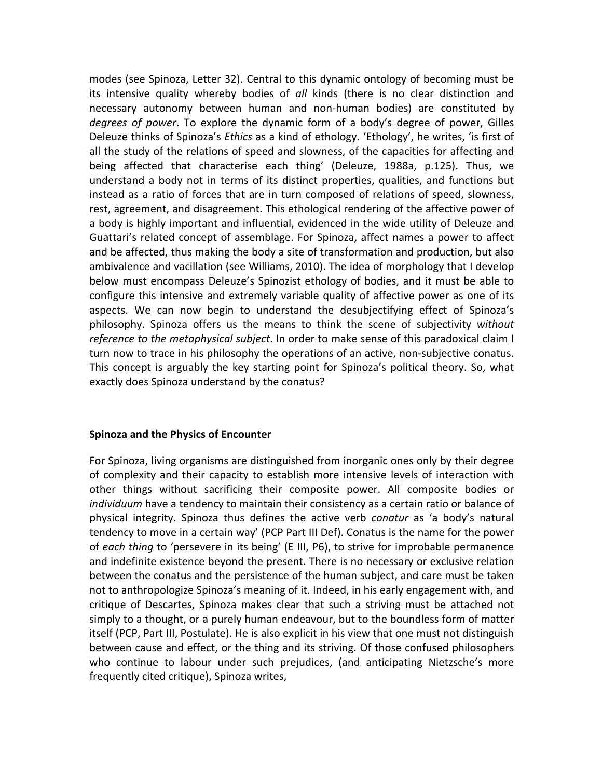modes (see Spinoza, Letter 32). Central to this dynamic ontology of becoming must be its intensive quality whereby bodies of all kinds (there is no clear distinction and necessary autonomy between human and non-human bodies) are constituted by *degrees of power*. To explore the dynamic form of a body's degree of power, Gilles Deleuze thinks of Spinoza's *Ethics* as a kind of ethology. 'Ethology', he writes, 'is first of all the study of the relations of speed and slowness, of the capacities for affecting and being affected that characterise each thing' (Deleuze, 1988a, p.125). Thus, we understand a body not in terms of its distinct properties, qualities, and functions but instead as a ratio of forces that are in turn composed of relations of speed, slowness, rest, agreement, and disagreement. This ethological rendering of the affective power of a body is highly important and influential, evidenced in the wide utility of Deleuze and Guattari's related concept of assemblage. For Spinoza, affect names a power to affect and be affected, thus making the body a site of transformation and production, but also ambivalence and vacillation (see Williams, 2010). The idea of morphology that I develop below must encompass Deleuze's Spinozist ethology of bodies, and it must be able to configure this intensive and extremely variable quality of affective power as one of its aspects. We can now begin to understand the desubjectifying effect of Spinoza's philosophy. Spinoza offers us the means to think the scene of subjectivity without *reference* to the *metaphysical subject*. In order to make sense of this paradoxical claim I turn now to trace in his philosophy the operations of an active, non-subjective conatus. This concept is arguably the key starting point for Spinoza's political theory. So, what exactly does Spinoza understand by the conatus?

#### **Spinoza and the Physics of Encounter**

For Spinoza, living organisms are distinguished from inorganic ones only by their degree of complexity and their capacity to establish more intensive levels of interaction with other things without sacrificing their composite power. All composite bodies or *individuum* have a tendency to maintain their consistency as a certain ratio or balance of physical integrity. Spinoza thus defines the active verb *conatur* as 'a body's natural tendency to move in a certain way' (PCP Part III Def). Conatus is the name for the power of *each thing* to 'persevere in its being' (E III, P6), to strive for improbable permanence and indefinite existence beyond the present. There is no necessary or exclusive relation between the conatus and the persistence of the human subject, and care must be taken not to anthropologize Spinoza's meaning of it. Indeed, in his early engagement with, and critique of Descartes, Spinoza makes clear that such a striving must be attached not simply to a thought, or a purely human endeavour, but to the boundless form of matter itself (PCP, Part III, Postulate). He is also explicit in his view that one must not distinguish between cause and effect, or the thing and its striving. Of those confused philosophers who continue to labour under such prejudices, (and anticipating Nietzsche's more frequently cited critique), Spinoza writes,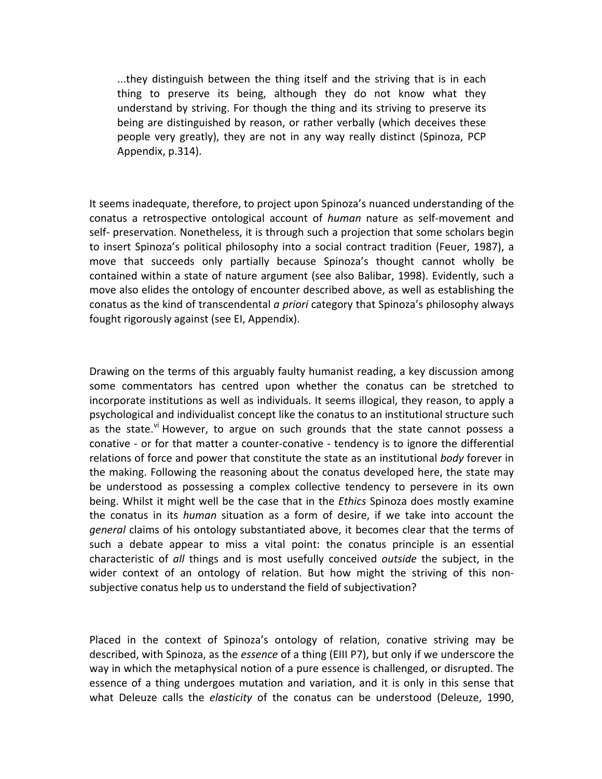...they distinguish between the thing itself and the striving that is in each thing to preserve its being, although they do not know what they understand by striving. For though the thing and its striving to preserve its being are distinguished by reason, or rather verbally (which deceives these people very greatly), they are not in any way really distinct (Spinoza, PCP Appendix, p.314).

It seems inadequate, therefore, to project upon Spinoza's nuanced understanding of the conatus a retrospective ontological account of *human* nature as self-movement and self- preservation. Nonetheless, it is through such a projection that some scholars begin to insert Spinoza's political philosophy into a social contract tradition (Feuer, 1987), a move that succeeds only partially because Spinoza's thought cannot wholly be contained within a state of nature argument (see also Balibar, 1998). Evidently, such a move also elides the ontology of encounter described above, as well as establishing the conatus as the kind of transcendental *a priori* category that Spinoza's philosophy always fought rigorously against (see EI, Appendix).

Drawing on the terms of this arguably faulty humanist reading, a key discussion among some commentators has centred upon whether the conatus can be stretched to incorporate institutions as well as individuals. It seems illogical, they reason, to apply a psychological and individualist concept like the conatus to an institutional structure such as the state.<sup>vi</sup> However, to argue on such grounds that the state cannot possess a conative - or for that matter a counter-conative - tendency is to ignore the differential relations of force and power that constitute the state as an institutional *body* forever in the making. Following the reasoning about the conatus developed here, the state may be understood as possessing a complex collective tendency to persevere in its own being. Whilst it might well be the case that in the *Ethics* Spinoza does mostly examine the conatus in its *human* situation as a form of desire, if we take into account the general claims of his ontology substantiated above, it becomes clear that the terms of such a debate appear to miss a vital point: the conatus principle is an essential characteristic of all things and is most usefully conceived *outside* the subject, in the wider context of an ontology of relation. But how might the striving of this nonsubjective conatus help us to understand the field of subjectivation?

Placed in the context of Spinoza's ontology of relation, conative striving may be described, with Spinoza, as the *essence* of a thing (EIII P7), but only if we underscore the way in which the metaphysical notion of a pure essence is challenged, or disrupted. The essence of a thing undergoes mutation and variation, and it is only in this sense that what Deleuze calls the *elasticity* of the conatus can be understood (Deleuze, 1990,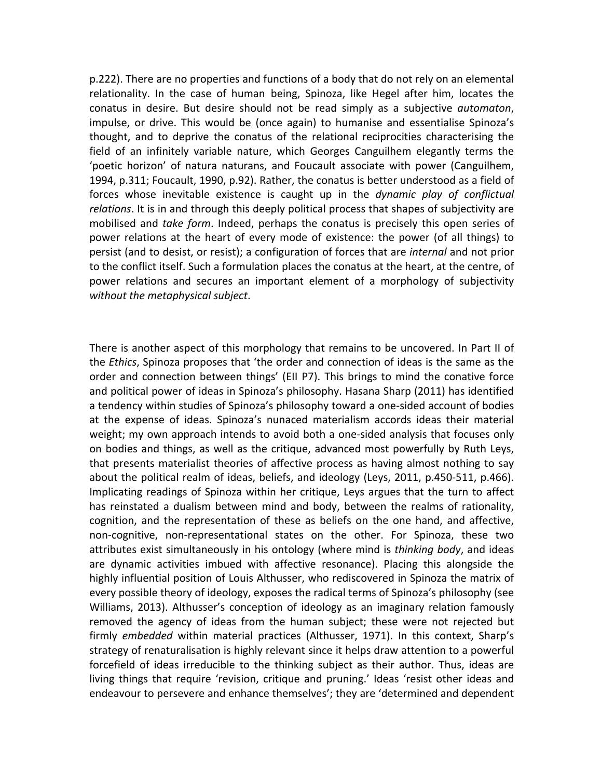p.222). There are no properties and functions of a body that do not rely on an elemental relationality. In the case of human being, Spinoza, like Hegel after him, locates the conatus in desire. But desire should not be read simply as a subjective *automaton*, impulse, or drive. This would be (once again) to humanise and essentialise Spinoza's thought, and to deprive the conatus of the relational reciprocities characterising the field of an infinitely variable nature, which Georges Canguilhem elegantly terms the 'poetic horizon' of natura naturans, and Foucault associate with power (Canguilhem, 1994, p.311; Foucault, 1990, p.92). Rather, the conatus is better understood as a field of forces whose inevitable existence is caught up in the *dynamic play of conflictual relations*. It is in and through this deeply political process that shapes of subjectivity are mobilised and *take form*. Indeed, perhaps the conatus is precisely this open series of power relations at the heart of every mode of existence: the power (of all things) to persist (and to desist, or resist); a configuration of forces that are *internal* and not prior to the conflict itself. Such a formulation places the conatus at the heart, at the centre, of power relations and secures an important element of a morphology of subjectivity *without the metaphysical subject*. 

There is another aspect of this morphology that remains to be uncovered. In Part II of the *Ethics*, Spinoza proposes that 'the order and connection of ideas is the same as the order and connection between things' (EII P7). This brings to mind the conative force and political power of ideas in Spinoza's philosophy. Hasana Sharp (2011) has identified a tendency within studies of Spinoza's philosophy toward a one-sided account of bodies at the expense of ideas. Spinoza's nunaced materialism accords ideas their material weight; my own approach intends to avoid both a one-sided analysis that focuses only on bodies and things, as well as the critique, advanced most powerfully by Ruth Leys, that presents materialist theories of affective process as having almost nothing to say about the political realm of ideas, beliefs, and ideology (Leys, 2011, p.450-511, p.466). Implicating readings of Spinoza within her critique, Leys argues that the turn to affect has reinstated a dualism between mind and body, between the realms of rationality, cognition, and the representation of these as beliefs on the one hand, and affective, non-cognitive, non-representational states on the other. For Spinoza, these two attributes exist simultaneously in his ontology (where mind is *thinking body*, and ideas are dynamic activities imbued with affective resonance). Placing this alongside the highly influential position of Louis Althusser, who rediscovered in Spinoza the matrix of every possible theory of ideology, exposes the radical terms of Spinoza's philosophy (see Williams, 2013). Althusser's conception of ideology as an imaginary relation famously removed the agency of ideas from the human subject; these were not rejected but firmly *embedded* within material practices (Althusser, 1971). In this context, Sharp's strategy of renaturalisation is highly relevant since it helps draw attention to a powerful forcefield of ideas irreducible to the thinking subject as their author. Thus, ideas are living things that require 'revision, critique and pruning.' Ideas 'resist other ideas and endeavour to persevere and enhance themselves'; they are 'determined and dependent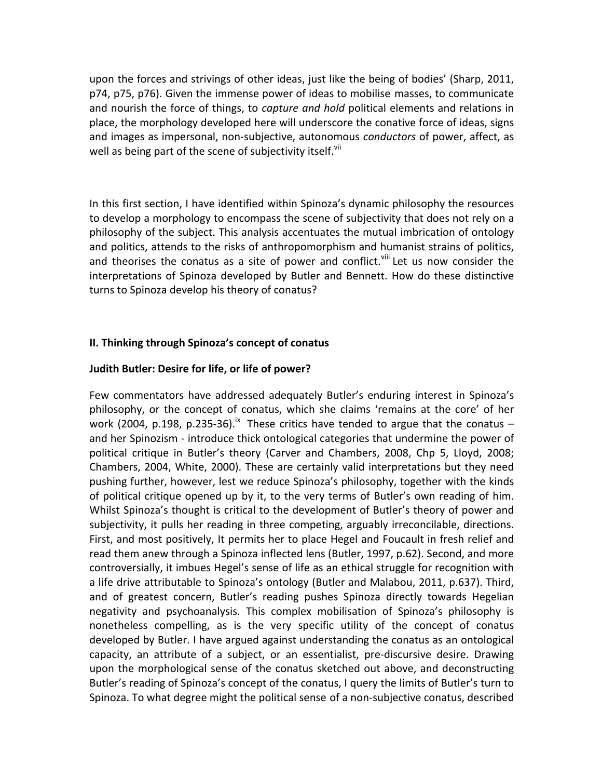upon the forces and strivings of other ideas, just like the being of bodies' (Sharp, 2011, p74, p75, p76). Given the immense power of ideas to mobilise masses, to communicate and nourish the force of things, to *capture and hold* political elements and relations in place, the morphology developed here will underscore the conative force of ideas, signs and images as impersonal, non-subjective, autonomous *conductors* of power, affect, as well as being part of the scene of subjectivity itself.<sup>Vii</sup>

In this first section, I have identified within Spinoza's dynamic philosophy the resources to develop a morphology to encompass the scene of subjectivity that does not rely on a philosophy of the subject. This analysis accentuates the mutual imbrication of ontology and politics, attends to the risks of anthropomorphism and humanist strains of politics, and theorises the conatus as a site of power and conflict.<sup>viii</sup> Let us now consider the interpretations of Spinoza developed by Butler and Bennett. How do these distinctive turns to Spinoza develop his theory of conatus?

# **II. Thinking through Spinoza's concept of conatus**

# **Judith Butler: Desire for life, or life of power?**

Few commentators have addressed adequately Butler's enduring interest in Spinoza's philosophy, or the concept of conatus, which she claims 'remains at the core' of her work (2004, p.198, p.235-36).<sup>ix</sup> These critics have tended to argue that the conatus – and her Spinozism - introduce thick ontological categories that undermine the power of political critique in Butler's theory (Carver and Chambers, 2008, Chp 5, Lloyd, 2008; Chambers, 2004, White, 2000). These are certainly valid interpretations but they need pushing further, however, lest we reduce Spinoza's philosophy, together with the kinds of political critique opened up by it, to the very terms of Butler's own reading of him. Whilst Spinoza's thought is critical to the development of Butler's theory of power and subjectivity, it pulls her reading in three competing, arguably irreconcilable, directions. First, and most positively, It permits her to place Hegel and Foucault in fresh relief and read them anew through a Spinoza inflected lens (Butler, 1997, p.62). Second, and more controversially, it imbues Hegel's sense of life as an ethical struggle for recognition with a life drive attributable to Spinoza's ontology (Butler and Malabou, 2011, p.637). Third, and of greatest concern, Butler's reading pushes Spinoza directly towards Hegelian negativity and psychoanalysis. This complex mobilisation of Spinoza's philosophy is nonetheless compelling, as is the very specific utility of the concept of conatus developed by Butler. I have argued against understanding the conatus as an ontological capacity, an attribute of a subject, or an essentialist, pre-discursive desire. Drawing upon the morphological sense of the conatus sketched out above, and deconstructing Butler's reading of Spinoza's concept of the conatus, I query the limits of Butler's turn to Spinoza. To what degree might the political sense of a non-subjective conatus, described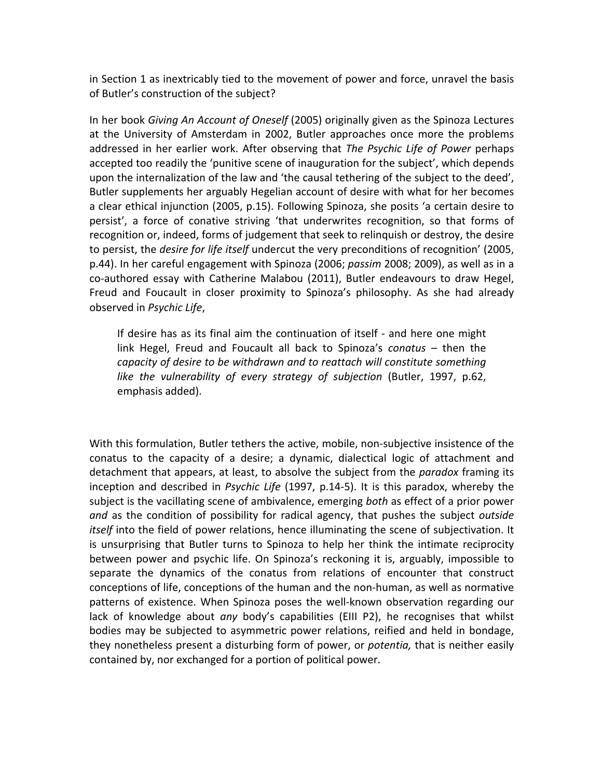in Section 1 as inextricably tied to the movement of power and force, unravel the basis of Butler's construction of the subject?

In her book *Giving An Account of Oneself* (2005) originally given as the Spinoza Lectures at the University of Amsterdam in 2002, Butler approaches once more the problems addressed in her earlier work. After observing that *The Psychic Life of Power* perhaps accepted too readily the 'punitive scene of inauguration for the subject', which depends upon the internalization of the law and 'the causal tethering of the subject to the deed', Butler supplements her arguably Hegelian account of desire with what for her becomes a clear ethical injunction (2005, p.15). Following Spinoza, she posits 'a certain desire to persist', a force of conative striving 'that underwrites recognition, so that forms of recognition or, indeed, forms of judgement that seek to relinquish or destroy, the desire to persist, the *desire for life itself* undercut the very preconditions of recognition' (2005, p.44). In her careful engagement with Spinoza (2006; *passim* 2008; 2009), as well as in a co-authored essay with Catherine Malabou (2011), Butler endeavours to draw Hegel, Freud and Foucault in closer proximity to Spinoza's philosophy. As she had already observed in *Psychic Life*,

If desire has as its final aim the continuation of itself - and here one might link Hegel, Freud and Foucault all back to Spinoza's *conatus* – then the *capacity* of desire to be withdrawn and to reattach will constitute something *like the vulnerability of every strategy of subjection* (Butler, 1997, p.62, emphasis added).

With this formulation, Butler tethers the active, mobile, non-subjective insistence of the conatus to the capacity of a desire; a dynamic, dialectical logic of attachment and detachment that appears, at least, to absolve the subject from the *paradox* framing its inception and described in Psychic Life (1997, p.14-5). It is this paradox, whereby the subject is the vacillating scene of ambivalence, emerging *both* as effect of a prior power *and* as the condition of possibility for radical agency, that pushes the subject *outside itself* into the field of power relations, hence illuminating the scene of subjectivation. It is unsurprising that Butler turns to Spinoza to help her think the intimate reciprocity between power and psychic life. On Spinoza's reckoning it is, arguably, impossible to separate the dynamics of the conatus from relations of encounter that construct conceptions of life, conceptions of the human and the non-human, as well as normative patterns of existence. When Spinoza poses the well-known observation regarding our lack of knowledge about *any* body's capabilities (EIII P2), he recognises that whilst bodies may be subjected to asymmetric power relations, reified and held in bondage, they nonetheless present a disturbing form of power, or *potentia*, that is neither easily contained by, nor exchanged for a portion of political power.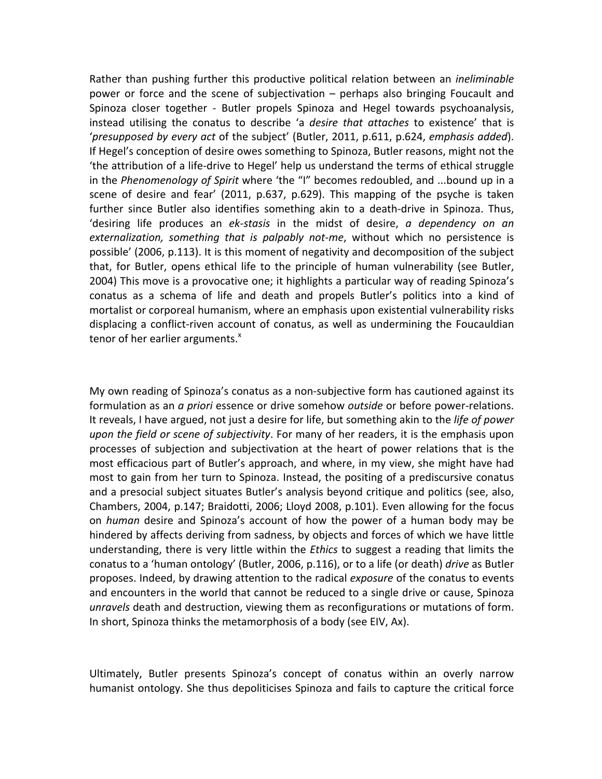Rather than pushing further this productive political relation between an *ineliminable* power or force and the scene of subjectivation – perhaps also bringing Foucault and Spinoza closer together - Butler propels Spinoza and Hegel towards psychoanalysis, instead utilising the conatus to describe 'a *desire* that attaches to existence' that is '*presupposed by every act* of the subject' (Butler, 2011, p.611, p.624, *emphasis added*). If Hegel's conception of desire owes something to Spinoza, Butler reasons, might not the 'the attribution of a life-drive to Hegel' help us understand the terms of ethical struggle in the *Phenomenology of Spirit* where 'the "I" becomes redoubled, and ...bound up in a scene of desire and fear' (2011, p.637, p.629). This mapping of the psyche is taken further since Butler also identifies something akin to a death-drive in Spinoza. Thus, desiring life produces an *ek-stasis* in the midst of desire, *a* dependency on an *externalization, something that is palpably not-me, without which no persistence is* possible' (2006, p.113). It is this moment of negativity and decomposition of the subject that, for Butler, opens ethical life to the principle of human vulnerability (see Butler, 2004) This move is a provocative one; it highlights a particular way of reading Spinoza's conatus as a schema of life and death and propels Butler's politics into a kind of mortalist or corporeal humanism, where an emphasis upon existential vulnerability risks displacing a conflict-riven account of conatus, as well as undermining the Foucauldian tenor of her earlier arguments.<sup>x</sup>

My own reading of Spinoza's conatus as a non-subjective form has cautioned against its formulation as an *a priori* essence or drive somehow *outside* or before power-relations. It reveals, I have argued, not just a desire for life, but something akin to the *life of power upon the field or scene of subjectivity*. For many of her readers, it is the emphasis upon processes of subjection and subjectivation at the heart of power relations that is the most efficacious part of Butler's approach, and where, in my view, she might have had most to gain from her turn to Spinoza. Instead, the positing of a prediscursive conatus and a presocial subject situates Butler's analysis beyond critique and politics (see, also, Chambers, 2004, p.147; Braidotti, 2006; Lloyd 2008, p.101). Even allowing for the focus on *human* desire and Spinoza's account of how the power of a human body may be hindered by affects deriving from sadness, by objects and forces of which we have little understanding, there is very little within the *Ethics* to suggest a reading that limits the conatus to a 'human ontology' (Butler, 2006, p.116), or to a life (or death) *drive* as Butler proposes. Indeed, by drawing attention to the radical *exposure* of the conatus to events and encounters in the world that cannot be reduced to a single drive or cause, Spinoza *unravels* death and destruction, viewing them as reconfigurations or mutations of form. In short, Spinoza thinks the metamorphosis of a body (see EIV, Ax).

Ultimately, Butler presents Spinoza's concept of conatus within an overly narrow humanist ontology. She thus depoliticises Spinoza and fails to capture the critical force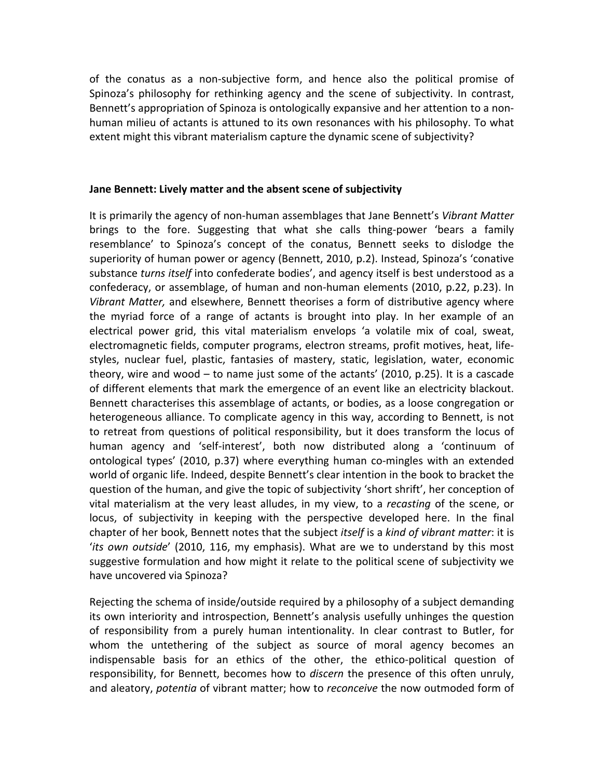of the conatus as a non-subjective form, and hence also the political promise of Spinoza's philosophy for rethinking agency and the scene of subjectivity. In contrast, Bennett's appropriation of Spinoza is ontologically expansive and her attention to a nonhuman milieu of actants is attuned to its own resonances with his philosophy. To what extent might this vibrant materialism capture the dynamic scene of subjectivity?

### **Jane Bennett: Lively matter and the absent scene of subjectivity**

It is primarily the agency of non-human assemblages that Jane Bennett's Vibrant Matter brings to the fore. Suggesting that what she calls thing-power 'bears a family resemblance' to Spinoza's concept of the conatus, Bennett seeks to dislodge the superiority of human power or agency (Bennett, 2010, p.2). Instead, Spinoza's 'conative substance *turns itself* into confederate bodies', and agency itself is best understood as a confederacy, or assemblage, of human and non-human elements (2010, p.22, p.23). In *Vibrant Matter,* and elsewhere, Bennett theorises a form of distributive agency where the myriad force of a range of actants is brought into play. In her example of an electrical power grid, this vital materialism envelops 'a volatile mix of coal, sweat, electromagnetic fields, computer programs, electron streams, profit motives, heat, lifestyles, nuclear fuel, plastic, fantasies of mastery, static, legislation, water, economic theory, wire and wood  $-$  to name just some of the actants' (2010, p.25). It is a cascade of different elements that mark the emergence of an event like an electricity blackout. Bennett characterises this assemblage of actants, or bodies, as a loose congregation or heterogeneous alliance. To complicate agency in this way, according to Bennett, is not to retreat from questions of political responsibility, but it does transform the locus of human agency and 'self-interest', both now distributed along a 'continuum of ontological types' (2010, p.37) where everything human co-mingles with an extended world of organic life. Indeed, despite Bennett's clear intention in the book to bracket the question of the human, and give the topic of subjectivity 'short shrift', her conception of vital materialism at the very least alludes, in my view, to a *recasting* of the scene, or locus, of subjectivity in keeping with the perspective developed here. In the final chapter of her book, Bennett notes that the subject *itself* is a *kind of vibrant matter*: it is *'its* own outside' (2010, 116, my emphasis). What are we to understand by this most suggestive formulation and how might it relate to the political scene of subjectivity we have uncovered via Spinoza?

Rejecting the schema of inside/outside required by a philosophy of a subject demanding its own interiority and introspection, Bennett's analysis usefully unhinges the question of responsibility from a purely human intentionality. In clear contrast to Butler, for whom the untethering of the subject as source of moral agency becomes an indispensable basis for an ethics of the other, the ethico-political question of responsibility, for Bennett, becomes how to *discern* the presence of this often unruly, and aleatory, *potentia* of vibrant matter; how to *reconceive* the now outmoded form of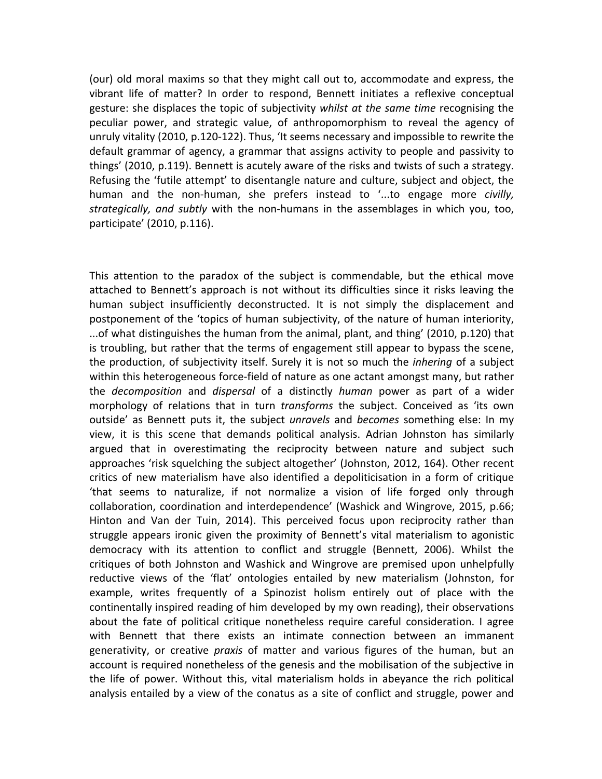(our) old moral maxims so that they might call out to, accommodate and express, the vibrant life of matter? In order to respond, Bennett initiates a reflexive conceptual gesture: she displaces the topic of subjectivity *whilst at the same time* recognising the peculiar power, and strategic value, of anthropomorphism to reveal the agency of unruly vitality (2010, p.120-122). Thus, 'It seems necessary and impossible to rewrite the default grammar of agency, a grammar that assigns activity to people and passivity to things' (2010, p.119). Bennett is acutely aware of the risks and twists of such a strategy. Refusing the 'futile attempt' to disentangle nature and culture, subject and object, the human and the non-human, she prefers instead to '...to engage more *civilly*, *strategically, and subtly* with the non-humans in the assemblages in which you, too, participate' (2010, p.116).

This attention to the paradox of the subject is commendable, but the ethical move attached to Bennett's approach is not without its difficulties since it risks leaving the human subject insufficiently deconstructed. It is not simply the displacement and postponement of the 'topics of human subjectivity, of the nature of human interiority, ...of what distinguishes the human from the animal, plant, and thing' (2010, p.120) that is troubling, but rather that the terms of engagement still appear to bypass the scene, the production, of subjectivity itself. Surely it is not so much the *inhering* of a subject within this heterogeneous force-field of nature as one actant amongst many, but rather the *decomposition* and *dispersal* of a distinctly *human* power as part of a wider morphology of relations that in turn *transforms* the subject. Conceived as 'its own outside' as Bennett puts it, the subject *unravels* and *becomes* something else: In my view, it is this scene that demands political analysis. Adrian Johnston has similarly argued that in overestimating the reciprocity between nature and subject such approaches 'risk squelching the subject altogether' (Johnston, 2012, 164). Other recent critics of new materialism have also identified a depoliticisation in a form of critique 'that seems to naturalize, if not normalize a vision of life forged only through collaboration, coordination and interdependence' (Washick and Wingrove, 2015, p.66; Hinton and Van der Tuin, 2014). This perceived focus upon reciprocity rather than struggle appears ironic given the proximity of Bennett's vital materialism to agonistic democracy with its attention to conflict and struggle (Bennett, 2006). Whilst the critiques of both Johnston and Washick and Wingrove are premised upon unhelpfully reductive views of the 'flat' ontologies entailed by new materialism (Johnston, for example, writes frequently of a Spinozist holism entirely out of place with the continentally inspired reading of him developed by my own reading), their observations about the fate of political critique nonetheless require careful consideration. I agree with Bennett that there exists an intimate connection between an immanent generativity, or creative *praxis* of matter and various figures of the human, but an account is required nonetheless of the genesis and the mobilisation of the subjective in the life of power. Without this, vital materialism holds in abeyance the rich political analysis entailed by a view of the conatus as a site of conflict and struggle, power and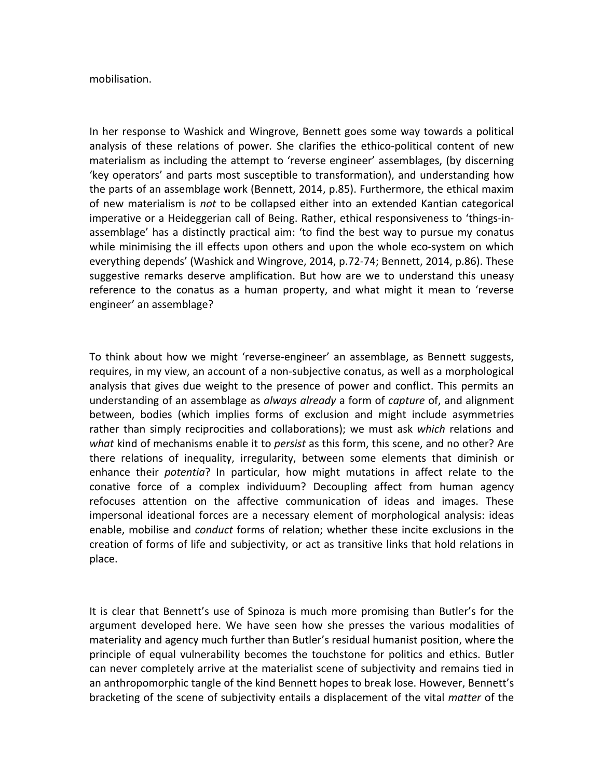mobilisation. 

In her response to Washick and Wingrove, Bennett goes some way towards a political analysis of these relations of power. She clarifies the ethico-political content of new materialism as including the attempt to 'reverse engineer' assemblages, (by discerning 'key operators' and parts most susceptible to transformation), and understanding how the parts of an assemblage work (Bennett, 2014, p.85). Furthermore, the ethical maxim of new materialism is *not* to be collapsed either into an extended Kantian categorical imperative or a Heideggerian call of Being. Rather, ethical responsiveness to 'things-inassemblage' has a distinctly practical aim: 'to find the best way to pursue my conatus while minimising the ill effects upon others and upon the whole eco-system on which everything depends' (Washick and Wingrove, 2014, p.72-74; Bennett, 2014, p.86). These suggestive remarks deserve amplification. But how are we to understand this uneasy reference to the conatus as a human property, and what might it mean to 'reverse engineer' an assemblage?

To think about how we might 'reverse-engineer' an assemblage, as Bennett suggests, requires, in my view, an account of a non-subjective conatus, as well as a morphological analysis that gives due weight to the presence of power and conflict. This permits an understanding of an assemblage as *always already* a form of *capture* of, and alignment between, bodies (which implies forms of exclusion and might include asymmetries rather than simply reciprocities and collaborations); we must ask *which* relations and *what* kind of mechanisms enable it to *persist* as this form, this scene, and no other? Are there relations of inequality, irregularity, between some elements that diminish or enhance their *potentia*? In particular, how might mutations in affect relate to the conative force of a complex individuum? Decoupling affect from human agency refocuses attention on the affective communication of ideas and images. These impersonal ideational forces are a necessary element of morphological analysis: ideas enable, mobilise and *conduct* forms of relation; whether these incite exclusions in the creation of forms of life and subjectivity, or act as transitive links that hold relations in place. 

It is clear that Bennett's use of Spinoza is much more promising than Butler's for the argument developed here. We have seen how she presses the various modalities of materiality and agency much further than Butler's residual humanist position, where the principle of equal vulnerability becomes the touchstone for politics and ethics. Butler can never completely arrive at the materialist scene of subjectivity and remains tied in an anthropomorphic tangle of the kind Bennett hopes to break lose. However, Bennett's bracketing of the scene of subjectivity entails a displacement of the vital *matter* of the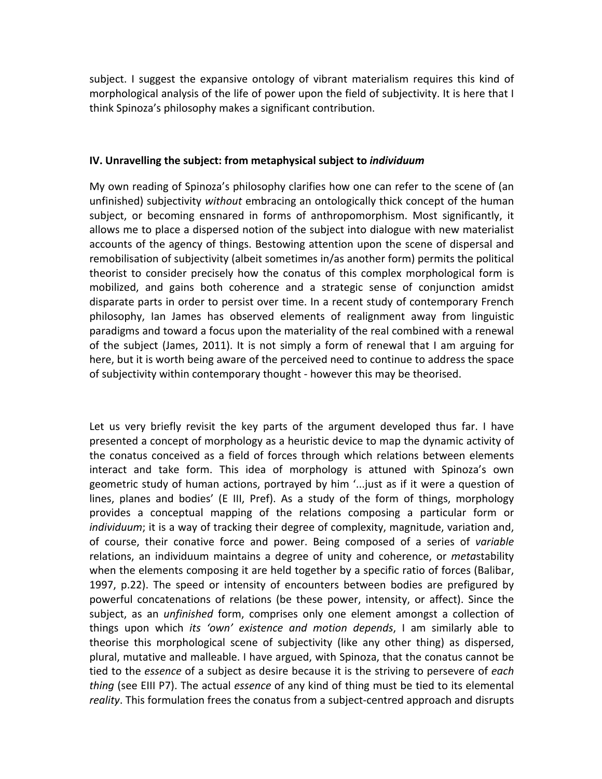subject. I suggest the expansive ontology of vibrant materialism requires this kind of morphological analysis of the life of power upon the field of subjectivity. It is here that I think Spinoza's philosophy makes a significant contribution.

### **IV.** Unravelling the subject: from metaphysical subject to *individuum*

My own reading of Spinoza's philosophy clarifies how one can refer to the scene of (an unfinished) subjectivity *without* embracing an ontologically thick concept of the human subject, or becoming ensnared in forms of anthropomorphism. Most significantly, it allows me to place a dispersed notion of the subject into dialogue with new materialist accounts of the agency of things. Bestowing attention upon the scene of dispersal and remobilisation of subjectivity (albeit sometimes in/as another form) permits the political theorist to consider precisely how the conatus of this complex morphological form is mobilized, and gains both coherence and a strategic sense of conjunction amidst disparate parts in order to persist over time. In a recent study of contemporary French philosophy, Ian James has observed elements of realignment away from linguistic paradigms and toward a focus upon the materiality of the real combined with a renewal of the subject (James, 2011). It is not simply a form of renewal that I am arguing for here, but it is worth being aware of the perceived need to continue to address the space of subjectivity within contemporary thought - however this may be theorised.

Let us very briefly revisit the key parts of the argument developed thus far. I have presented a concept of morphology as a heuristic device to map the dynamic activity of the conatus conceived as a field of forces through which relations between elements interact and take form. This idea of morphology is attuned with Spinoza's own geometric study of human actions, portrayed by him '...just as if it were a question of lines, planes and bodies' (E III, Pref). As a study of the form of things, morphology provides a conceptual mapping of the relations composing a particular form or *individuum*; it is a way of tracking their degree of complexity, magnitude, variation and, of course, their conative force and power. Being composed of a series of *variable* relations, an individuum maintains a degree of unity and coherence, or *metastability* when the elements composing it are held together by a specific ratio of forces (Balibar, 1997, p.22). The speed or intensity of encounters between bodies are prefigured by powerful concatenations of relations (be these power, intensity, or affect). Since the subject, as an *unfinished* form, comprises only one element amongst a collection of things upon which *its 'own' existence and motion depends*, I am similarly able to theorise this morphological scene of subjectivity (like any other thing) as dispersed, plural, mutative and malleable. I have argued, with Spinoza, that the conatus cannot be tied to the *essence* of a subject as desire because it is the striving to persevere of *each thing* (see EIII P7). The actual *essence* of any kind of thing must be tied to its elemental *reality*. This formulation frees the conatus from a subject-centred approach and disrupts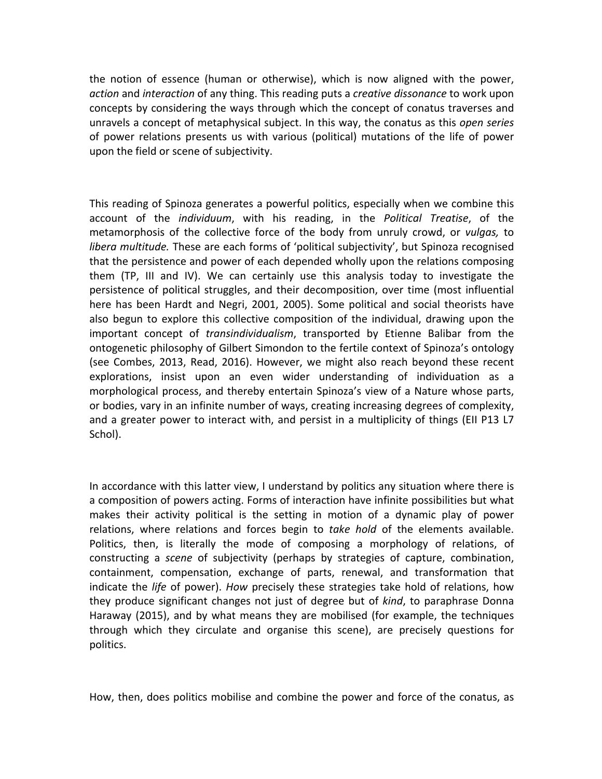the notion of essence (human or otherwise), which is now aligned with the power, *action* and *interaction* of any thing. This reading puts a *creative dissonance* to work upon concepts by considering the ways through which the concept of conatus traverses and unravels a concept of metaphysical subject. In this way, the conatus as this *open series* of power relations presents us with various (political) mutations of the life of power upon the field or scene of subjectivity.

This reading of Spinoza generates a powerful politics, especially when we combine this account of the *individuum*, with his reading, in the *Political Treatise*, of the metamorphosis of the collective force of the body from unruly crowd, or *vulgas*, to *libera multitude*. These are each forms of 'political subjectivity', but Spinoza recognised that the persistence and power of each depended wholly upon the relations composing them (TP, III and IV). We can certainly use this analysis today to investigate the persistence of political struggles, and their decomposition, over time (most influential here has been Hardt and Negri, 2001, 2005). Some political and social theorists have also begun to explore this collective composition of the individual, drawing upon the important concept of *transindividualism*, transported by Etienne Balibar from the ontogenetic philosophy of Gilbert Simondon to the fertile context of Spinoza's ontology (see Combes, 2013, Read, 2016). However, we might also reach beyond these recent explorations, insist upon an even wider understanding of individuation as a morphological process, and thereby entertain Spinoza's view of a Nature whose parts, or bodies, vary in an infinite number of ways, creating increasing degrees of complexity, and a greater power to interact with, and persist in a multiplicity of things (EII P13 L7 Schol). 

In accordance with this latter view, I understand by politics any situation where there is a composition of powers acting. Forms of interaction have infinite possibilities but what makes their activity political is the setting in motion of a dynamic play of power relations, where relations and forces begin to *take hold* of the elements available. Politics, then, is literally the mode of composing a morphology of relations, of constructing a *scene* of subjectivity (perhaps by strategies of capture, combination, containment, compensation, exchange of parts, renewal, and transformation that indicate the *life* of power). *How* precisely these strategies take hold of relations, how they produce significant changes not just of degree but of *kind*, to paraphrase Donna Haraway (2015), and by what means they are mobilised (for example, the techniques through which they circulate and organise this scene), are precisely questions for politics.

How, then, does politics mobilise and combine the power and force of the conatus, as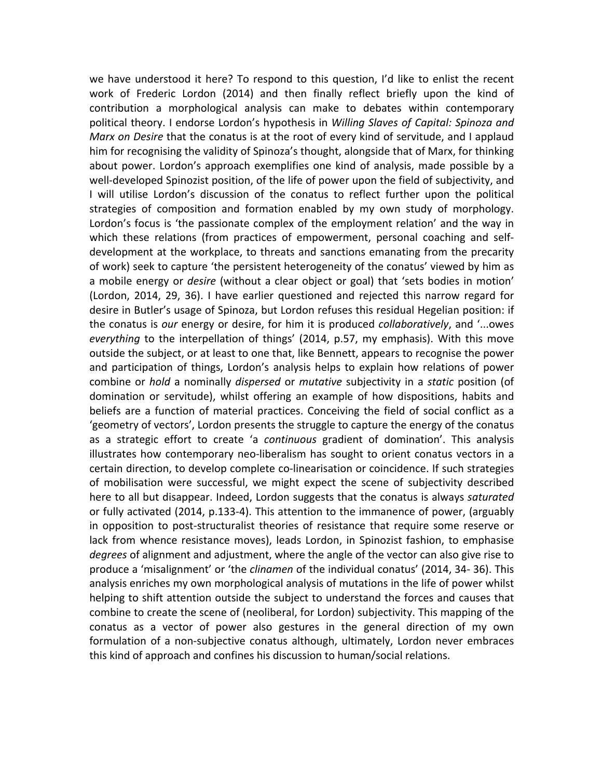we have understood it here? To respond to this question, I'd like to enlist the recent work of Frederic Lordon (2014) and then finally reflect briefly upon the kind of contribution a morphological analysis can make to debates within contemporary political theory. I endorse Lordon's hypothesis in *Willing Slaves of Capital: Spinoza and Marx* on Desire that the conatus is at the root of every kind of servitude, and I applaud him for recognising the validity of Spinoza's thought, alongside that of Marx, for thinking about power. Lordon's approach exemplifies one kind of analysis, made possible by a well-developed Spinozist position, of the life of power upon the field of subjectivity, and I will utilise Lordon's discussion of the conatus to reflect further upon the political strategies of composition and formation enabled by my own study of morphology. Lordon's focus is 'the passionate complex of the employment relation' and the way in which these relations (from practices of empowerment, personal coaching and selfdevelopment at the workplace, to threats and sanctions emanating from the precarity of work) seek to capture 'the persistent heterogeneity of the conatus' viewed by him as a mobile energy or *desire* (without a clear object or goal) that 'sets bodies in motion' (Lordon, 2014, 29, 36). I have earlier questioned and rejected this narrow regard for desire in Butler's usage of Spinoza, but Lordon refuses this residual Hegelian position: if the conatus is *our* energy or desire, for him it is produced *collaboratively*, and '...owes everything to the interpellation of things' (2014, p.57, my emphasis). With this move outside the subject, or at least to one that, like Bennett, appears to recognise the power and participation of things, Lordon's analysis helps to explain how relations of power combine or *hold* a nominally *dispersed* or *mutative* subjectivity in a *static* position (of domination or servitude), whilst offering an example of how dispositions, habits and beliefs are a function of material practices. Conceiving the field of social conflict as a 'geometry of vectors', Lordon presents the struggle to capture the energy of the conatus as a strategic effort to create 'a *continuous* gradient of domination'. This analysis illustrates how contemporary neo-liberalism has sought to orient conatus vectors in a certain direction, to develop complete co-linearisation or coincidence. If such strategies of mobilisation were successful, we might expect the scene of subjectivity described here to all but disappear. Indeed, Lordon suggests that the conatus is always saturated or fully activated (2014, p.133-4). This attention to the immanence of power, (arguably in opposition to post-structuralist theories of resistance that require some reserve or lack from whence resistance moves), leads Lordon, in Spinozist fashion, to emphasise *degrees* of alignment and adjustment, where the angle of the vector can also give rise to produce a 'misalignment' or 'the *clinamen* of the individual conatus' (2014, 34- 36). This analysis enriches my own morphological analysis of mutations in the life of power whilst helping to shift attention outside the subject to understand the forces and causes that combine to create the scene of (neoliberal, for Lordon) subjectivity. This mapping of the conatus as a vector of power also gestures in the general direction of my own formulation of a non-subjective conatus although, ultimately, Lordon never embraces this kind of approach and confines his discussion to human/social relations.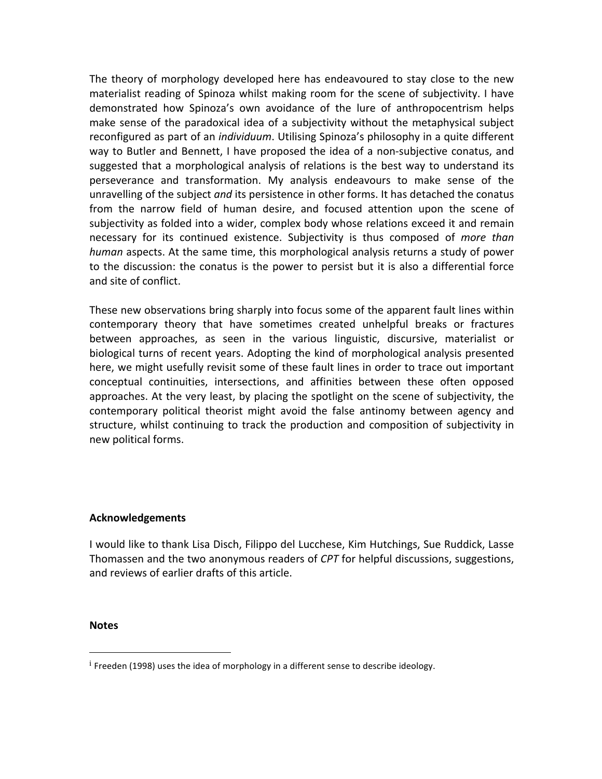The theory of morphology developed here has endeavoured to stay close to the new materialist reading of Spinoza whilst making room for the scene of subjectivity. I have demonstrated how Spinoza's own avoidance of the lure of anthropocentrism helps make sense of the paradoxical idea of a subjectivity without the metaphysical subject reconfigured as part of an *individuum*. Utilising Spinoza's philosophy in a quite different way to Butler and Bennett, I have proposed the idea of a non-subjective conatus, and suggested that a morphological analysis of relations is the best way to understand its perseverance and transformation. My analysis endeavours to make sense of the unravelling of the subject *and* its persistence in other forms. It has detached the conatus from the narrow field of human desire, and focused attention upon the scene of subjectivity as folded into a wider, complex body whose relations exceed it and remain necessary for its continued existence. Subjectivity is thus composed of *more than human* aspects. At the same time, this morphological analysis returns a study of power to the discussion: the conatus is the power to persist but it is also a differential force and site of conflict.

These new observations bring sharply into focus some of the apparent fault lines within contemporary theory that have sometimes created unhelpful breaks or fractures between approaches, as seen in the various linguistic, discursive, materialist or biological turns of recent years. Adopting the kind of morphological analysis presented here, we might usefully revisit some of these fault lines in order to trace out important conceptual continuities, intersections, and affinities between these often opposed approaches. At the very least, by placing the spotlight on the scene of subjectivity, the contemporary political theorist might avoid the false antinomy between agency and structure, whilst continuing to track the production and composition of subjectivity in new political forms.

# **Acknowledgements**

 

I would like to thank Lisa Disch, Filippo del Lucchese, Kim Hutchings, Sue Ruddick, Lasse Thomassen and the two anonymous readers of *CPT* for helpful discussions, suggestions, and reviews of earlier drafts of this article.

#### **Notes**

 $<sup>i</sup>$  Freeden (1998) uses the idea of morphology in a different sense to describe ideology.</sup>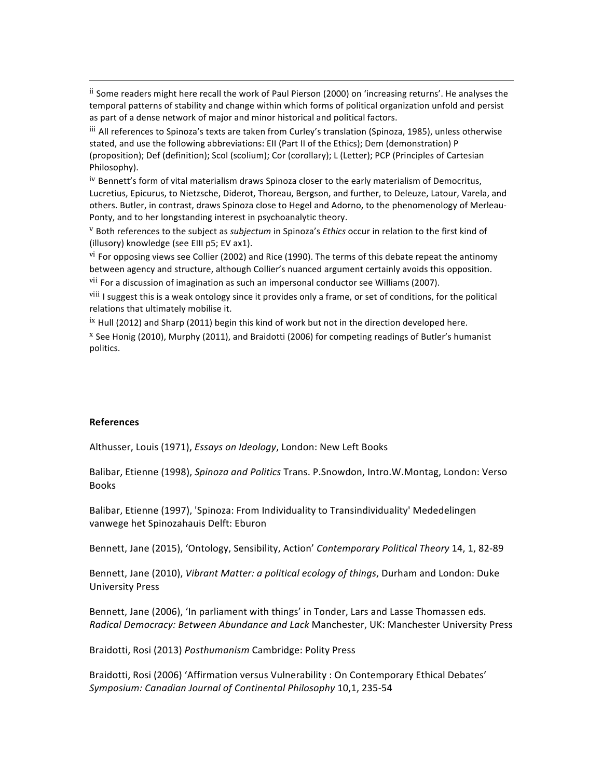<sup>ii</sup> Some readers might here recall the work of Paul Pierson (2000) on 'increasing returns'. He analyses the temporal patterns of stability and change within which forms of political organization unfold and persist as part of a dense network of major and minor historical and political factors.

<u> 1989 - Andrea Santa Andrea Andrea Andrea Andrea Andrea Andrea Andrea Andrea Andrea Andrea Andrea Andrea Andr</u>

iii All references to Spinoza's texts are taken from Curley's translation (Spinoza, 1985), unless otherwise stated, and use the following abbreviations: EII (Part II of the Ethics); Dem (demonstration) P (proposition); Def (definition); Scol (scolium); Cor (corollary); L (Letter); PCP (Principles of Cartesian Philosophy).

iv Bennett's form of vital materialism draws Spinoza closer to the early materialism of Democritus, Lucretius, Epicurus, to Nietzsche, Diderot, Thoreau, Bergson, and further, to Deleuze, Latour, Varela, and others. Butler, in contrast, draws Spinoza close to Hegel and Adorno, to the phenomenology of Merleau-Ponty, and to her longstanding interest in psychoanalytic theory.

<sup>v</sup> Both references to the subject as *subjectum* in Spinoza's *Ethics* occur in relation to the first kind of (illusory) knowledge (see EIII p5; EV ax1).

vi For opposing views see Collier (2002) and Rice (1990). The terms of this debate repeat the antinomy between agency and structure, although Collier's nuanced argument certainly avoids this opposition.

<sup>vii</sup> For a discussion of imagination as such an impersonal conductor see Williams (2007).

 $\frac{v_{\text{iii}}}{v_{\text{iii}}}$  I suggest this is a weak ontology since it provides only a frame, or set of conditions, for the political relations that ultimately mobilise it.

ix Hull (2012) and Sharp (2011) begin this kind of work but not in the direction developed here. <sup>x</sup> See Honig (2010), Murphy (2011), and Braidotti (2006) for competing readings of Butler's humanist politics.

#### **References**

Althusser, Louis (1971), *Essays on Ideology*, London: New Left Books

Balibar, Etienne (1998), *Spinoza and Politics* Trans. P.Snowdon, Intro.W.Montag, London: Verso Books 

Balibar, Etienne (1997), 'Spinoza: From Individuality to Transindividuality' Mededelingen vanwege het Spinozahauis Delft: Eburon

Bennett, Jane (2015), 'Ontology, Sensibility, Action' *Contemporary Political Theory* 14, 1, 82-89

Bennett, Jane (2010), *Vibrant Matter: a political ecology of things*, Durham and London: Duke University Press 

Bennett, Jane (2006), 'In parliament with things' in Tonder, Lars and Lasse Thomassen eds. *Radical Democracy: Between Abundance and Lack Manchester, UK: Manchester University Press* 

Braidotti, Rosi (2013) *Posthumanism* Cambridge: Polity Press

Braidotti, Rosi (2006) 'Affirmation versus Vulnerability : On Contemporary Ethical Debates' Symposium: Canadian Journal of Continental Philosophy 10,1, 235-54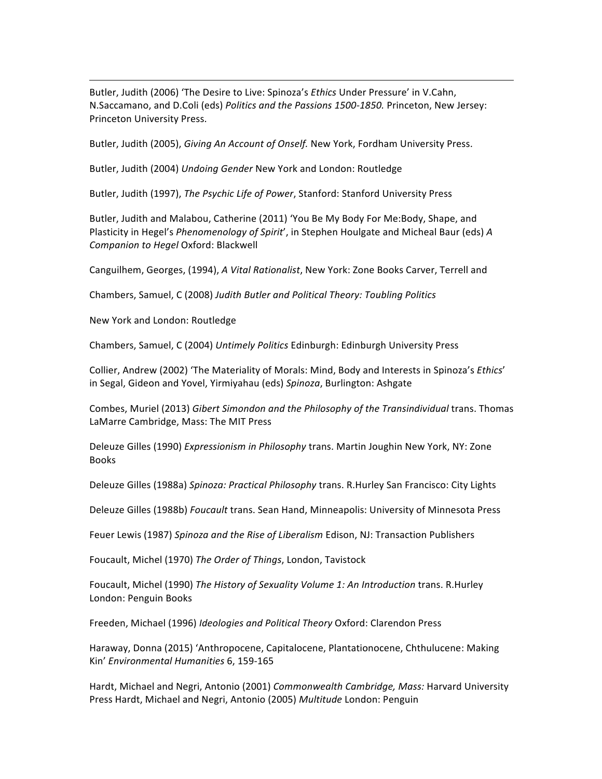Butler, Judith (2006) 'The Desire to Live: Spinoza's *Ethics* Under Pressure' in V.Cahn, N.Saccamano, and D.Coli (eds) *Politics and the Passions 1500-1850.* Princeton, New Jersey: Princeton University Press.

<u> 1989 - Andrea Santa Andrea Andrea Andrea Andrea Andrea Andrea Andrea Andrea Andrea Andrea Andrea Andrea Andr</u>

Butler, Judith (2005), *Giving An Account of Onself.* New York, Fordham University Press.

Butler, Judith (2004) *Undoing Gender* New York and London: Routledge

Butler, Judith (1997), *The Psychic Life of Power*, Stanford: Stanford University Press

Butler, Judith and Malabou, Catherine (2011) 'You Be My Body For Me:Body, Shape, and Plasticity in Hegel's *Phenomenology of Spirit'*, in Stephen Houlgate and Micheal Baur (eds) A *Companion to Hegel* Oxford: Blackwell 

Canguilhem, Georges, (1994), *A Vital Rationalist*, New York: Zone Books Carver, Terrell and

Chambers, Samuel, C (2008) *Judith Butler and Political Theory: Toubling Politics* 

New York and London: Routledge 

Chambers, Samuel, C (2004) *Untimely Politics* Edinburgh: Edinburgh University Press

Collier, Andrew (2002) 'The Materiality of Morals: Mind, Body and Interests in Spinoza's *Ethics'* in Segal, Gideon and Yovel, Yirmiyahau (eds) Spinoza, Burlington: Ashgate

Combes, Muriel (2013) Gibert Simondon and the Philosophy of the Transindividual trans. Thomas LaMarre Cambridge, Mass: The MIT Press

Deleuze Gilles (1990) *Expressionism in Philosophy* trans. Martin Joughin New York, NY: Zone Books

Deleuze Gilles (1988a) *Spinoza: Practical Philosophy* trans. R.Hurley San Francisco: City Lights

Deleuze Gilles (1988b) *Foucault* trans. Sean Hand, Minneapolis: University of Minnesota Press

Feuer Lewis (1987) Spinoza and the Rise of Liberalism Edison, NJ: Transaction Publishers

Foucault, Michel (1970) The Order of Things, London, Tavistock

Foucault, Michel (1990) The History of Sexuality Volume 1: An Introduction trans. R.Hurley London: Penguin Books

Freeden, Michael (1996) *Ideologies and Political Theory* Oxford: Clarendon Press

Haraway, Donna (2015) 'Anthropocene, Capitalocene, Plantationocene, Chthulucene: Making Kin' *Environmental Humanities* 6, 159-165 

Hardt, Michael and Negri, Antonio (2001) *Commonwealth Cambridge, Mass:* Harvard University Press Hardt, Michael and Negri, Antonio (2005) *Multitude* London: Penguin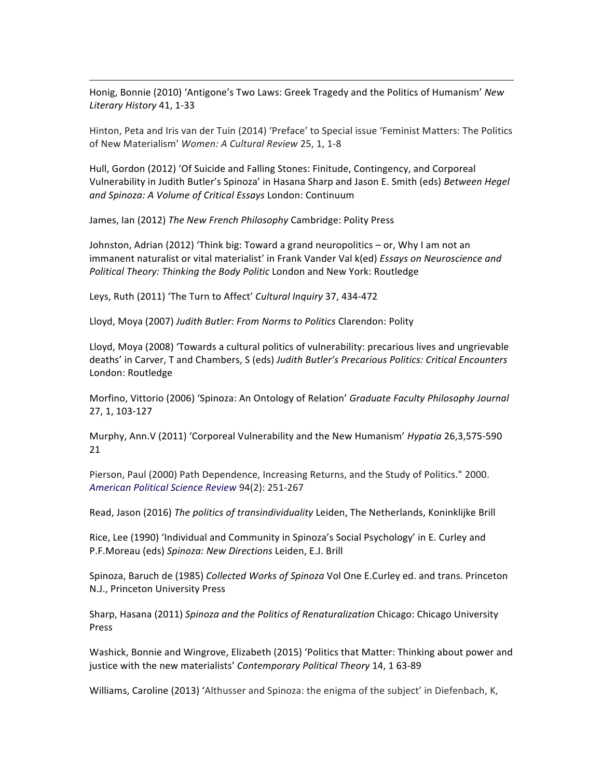Honig, Bonnie (2010) 'Antigone's Two Laws: Greek Tragedy and the Politics of Humanism' New *Literary History* 41, 1-33 

<u> 1989 - Andrea Santa Andrea Andrea Andrea Andrea Andrea Andrea Andrea Andrea Andrea Andrea Andrea Andrea Andr</u>

Hinton, Peta and Iris van der Tuin (2014) 'Preface' to Special issue 'Feminist Matters: The Politics of New Materialism' Women: A Cultural Review 25, 1, 1-8

Hull, Gordon (2012) 'Of Suicide and Falling Stones: Finitude, Contingency, and Corporeal Vulnerability in Judith Butler's Spinoza' in Hasana Sharp and Jason E. Smith (eds) *Between Hegel* and Spinoza: A Volume of Critical Essays London: Continuum

James, Ian (2012) The New French Philosophy Cambridge: Polity Press

Johnston, Adrian (2012) 'Think big: Toward a grand neuropolitics  $-$  or, Why I am not an immanent naturalist or vital materialist' in Frank Vander Val k(ed) *Essays on Neuroscience and Political Theory: Thinking the Body Politic London and New York: Routledge* 

Leys, Ruth (2011) 'The Turn to Affect' Cultural Inquiry 37, 434-472

Lloyd, Moya (2007) *Judith Butler: From Norms to Politics* Clarendon: Polity

Lloyd, Moya (2008) 'Towards a cultural politics of vulnerability: precarious lives and ungrievable deaths' in Carver, T and Chambers, S (eds) Judith Butler's Precarious Politics: Critical Encounters London: Routledge

Morfino, Vittorio (2006) 'Spinoza: An Ontology of Relation' *Graduate Faculty Philosophy Journal* 27, 1, 103-127 

Murphy, Ann.V (2011) 'Corporeal Vulnerability and the New Humanism' *Hypatia* 26,3,575-590 21

Pierson, Paul (2000) Path Dependence, Increasing Returns, and the Study of Politics." 2000. *American Political Science Review* 94(2): 251-267 

Read, Jason (2016) The politics of transindividuality Leiden, The Netherlands, Koninklijke Brill

Rice, Lee (1990) 'Individual and Community in Spinoza's Social Psychology' in E. Curley and P.F.Moreau (eds) *Spinoza: New Directions* Leiden, E.J. Brill 

Spinoza, Baruch de (1985) *Collected Works of Spinoza* Vol One E.Curley ed. and trans. Princeton N.J., Princeton University Press

Sharp, Hasana (2011) Spinoza and the Politics of Renaturalization Chicago: Chicago University Press 

Washick, Bonnie and Wingrove, Elizabeth (2015) 'Politics that Matter: Thinking about power and justice with the new materialists' Contemporary Political Theory 14, 1 63-89

Williams, Caroline (2013) 'Althusser and Spinoza: the enigma of the subject' in Diefenbach, K,